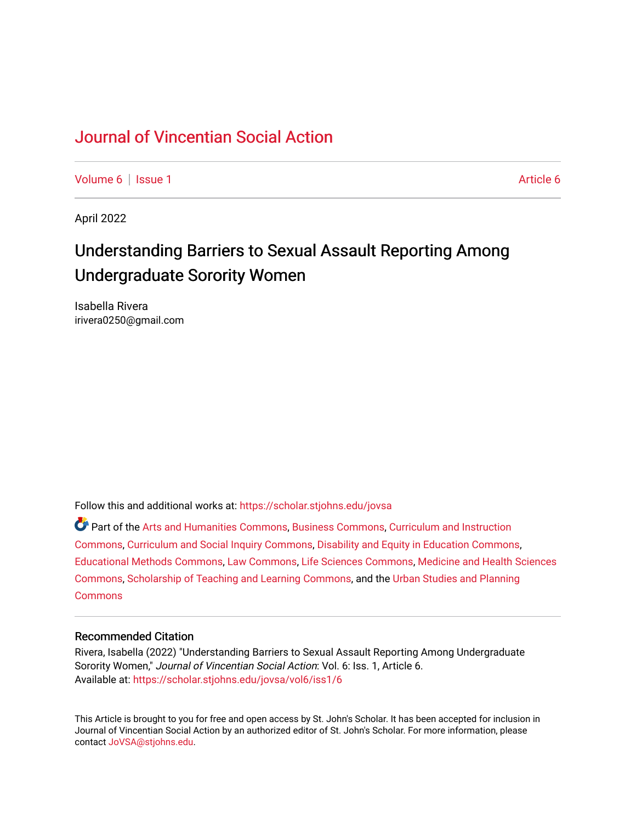# [Journal of Vincentian Social Action](https://scholar.stjohns.edu/jovsa)

[Volume 6](https://scholar.stjohns.edu/jovsa/vol6) | [Issue 1](https://scholar.stjohns.edu/jovsa/vol6/iss1) [Article 6](https://scholar.stjohns.edu/jovsa/vol6/iss1/6) | Article 6 | Article 6 | Article 6 | Article 6 | Article 6 | Article 6 | Article 6 | Article 6 | Article 6 | Article 6 | Article 6 | Article 6 | Article 6 | Article 6 | Article 6 | Article 6 |

April 2022

# Understanding Barriers to Sexual Assault Reporting Among Undergraduate Sorority Women

Isabella Rivera irivera0250@gmail.com

Follow this and additional works at: [https://scholar.stjohns.edu/jovsa](https://scholar.stjohns.edu/jovsa?utm_source=scholar.stjohns.edu%2Fjovsa%2Fvol6%2Fiss1%2F6&utm_medium=PDF&utm_campaign=PDFCoverPages) 

Part of the [Arts and Humanities Commons,](http://network.bepress.com/hgg/discipline/438?utm_source=scholar.stjohns.edu%2Fjovsa%2Fvol6%2Fiss1%2F6&utm_medium=PDF&utm_campaign=PDFCoverPages) [Business Commons](http://network.bepress.com/hgg/discipline/622?utm_source=scholar.stjohns.edu%2Fjovsa%2Fvol6%2Fiss1%2F6&utm_medium=PDF&utm_campaign=PDFCoverPages), [Curriculum and Instruction](http://network.bepress.com/hgg/discipline/786?utm_source=scholar.stjohns.edu%2Fjovsa%2Fvol6%2Fiss1%2F6&utm_medium=PDF&utm_campaign=PDFCoverPages)  [Commons](http://network.bepress.com/hgg/discipline/786?utm_source=scholar.stjohns.edu%2Fjovsa%2Fvol6%2Fiss1%2F6&utm_medium=PDF&utm_campaign=PDFCoverPages), [Curriculum and Social Inquiry Commons](http://network.bepress.com/hgg/discipline/1038?utm_source=scholar.stjohns.edu%2Fjovsa%2Fvol6%2Fiss1%2F6&utm_medium=PDF&utm_campaign=PDFCoverPages), [Disability and Equity in Education Commons,](http://network.bepress.com/hgg/discipline/1040?utm_source=scholar.stjohns.edu%2Fjovsa%2Fvol6%2Fiss1%2F6&utm_medium=PDF&utm_campaign=PDFCoverPages) [Educational Methods Commons,](http://network.bepress.com/hgg/discipline/1227?utm_source=scholar.stjohns.edu%2Fjovsa%2Fvol6%2Fiss1%2F6&utm_medium=PDF&utm_campaign=PDFCoverPages) [Law Commons,](http://network.bepress.com/hgg/discipline/578?utm_source=scholar.stjohns.edu%2Fjovsa%2Fvol6%2Fiss1%2F6&utm_medium=PDF&utm_campaign=PDFCoverPages) [Life Sciences Commons](http://network.bepress.com/hgg/discipline/1016?utm_source=scholar.stjohns.edu%2Fjovsa%2Fvol6%2Fiss1%2F6&utm_medium=PDF&utm_campaign=PDFCoverPages), [Medicine and Health Sciences](http://network.bepress.com/hgg/discipline/648?utm_source=scholar.stjohns.edu%2Fjovsa%2Fvol6%2Fiss1%2F6&utm_medium=PDF&utm_campaign=PDFCoverPages) [Commons](http://network.bepress.com/hgg/discipline/648?utm_source=scholar.stjohns.edu%2Fjovsa%2Fvol6%2Fiss1%2F6&utm_medium=PDF&utm_campaign=PDFCoverPages), [Scholarship of Teaching and Learning Commons](http://network.bepress.com/hgg/discipline/1328?utm_source=scholar.stjohns.edu%2Fjovsa%2Fvol6%2Fiss1%2F6&utm_medium=PDF&utm_campaign=PDFCoverPages), and the [Urban Studies and Planning](http://network.bepress.com/hgg/discipline/436?utm_source=scholar.stjohns.edu%2Fjovsa%2Fvol6%2Fiss1%2F6&utm_medium=PDF&utm_campaign=PDFCoverPages)  **[Commons](http://network.bepress.com/hgg/discipline/436?utm_source=scholar.stjohns.edu%2Fjovsa%2Fvol6%2Fiss1%2F6&utm_medium=PDF&utm_campaign=PDFCoverPages)** 

### Recommended Citation

Rivera, Isabella (2022) "Understanding Barriers to Sexual Assault Reporting Among Undergraduate Sorority Women," Journal of Vincentian Social Action: Vol. 6: Iss. 1, Article 6. Available at: [https://scholar.stjohns.edu/jovsa/vol6/iss1/6](https://scholar.stjohns.edu/jovsa/vol6/iss1/6?utm_source=scholar.stjohns.edu%2Fjovsa%2Fvol6%2Fiss1%2F6&utm_medium=PDF&utm_campaign=PDFCoverPages) 

This Article is brought to you for free and open access by St. John's Scholar. It has been accepted for inclusion in Journal of Vincentian Social Action by an authorized editor of St. John's Scholar. For more information, please contact [JoVSA@stjohns.edu](mailto:JoVSA@stjohns.edu).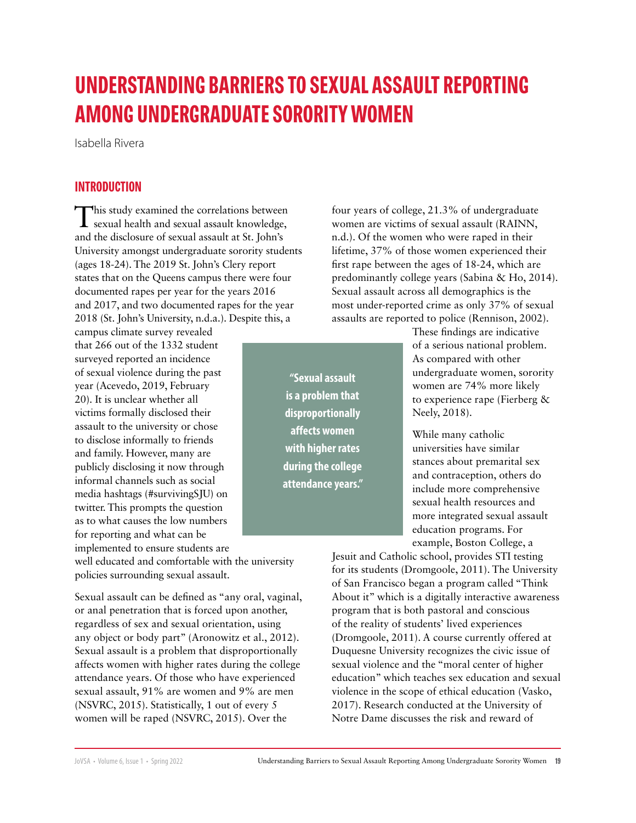# **UNDERSTANDING BARRIERS TO SEXUAL ASSAULT REPORTING AMONG UNDERGRADUATE SORORITY WOMEN**

Isabella Rivera

# **INTRODUCTION**

This study examined the correlations between<br>sexual health and sexual assault knowledge, and the disclosure of sexual assault at St. John's University amongst undergraduate sorority students (ages 18-24). The 2019 St. John's Clery report states that on the Queens campus there were four documented rapes per year for the years 2016 and 2017, and two documented rapes for the year 2018 (St. John's University, n.d.a.). Despite this, a

campus climate survey revealed that 266 out of the 1332 student surveyed reported an incidence of sexual violence during the past year (Acevedo, 2019, February 20). It is unclear whether all victims formally disclosed their assault to the university or chose to disclose informally to friends and family. However, many are publicly disclosing it now through informal channels such as social media hashtags (#survivingSJU) on twitter. This prompts the question as to what causes the low numbers for reporting and what can be

implemented to ensure students are well educated and comfortable with the university policies surrounding sexual assault.

Sexual assault can be defined as "any oral, vaginal, or anal penetration that is forced upon another, regardless of sex and sexual orientation, using any object or body part" (Aronowitz et al., 2012). Sexual assault is a problem that disproportionally affects women with higher rates during the college attendance years. Of those who have experienced sexual assault, 91% are women and 9% are men (NSVRC, 2015). Statistically, 1 out of every 5 women will be raped (NSVRC, 2015). Over the

four years of college, 21.3% of undergraduate women are victims of sexual assault (RAINN, n.d.). Of the women who were raped in their lifetime, 37% of those women experienced their first rape between the ages of 18-24, which are predominantly college years (Sabina & Ho, 2014). Sexual assault across all demographics is the most under-reported crime as only 37% of sexual assaults are reported to police (Rennison, 2002).

> These findings are indicative of a serious national problem. As compared with other undergraduate women, sorority women are 74% more likely to experience rape (Fierberg & Neely, 2018).

While many catholic universities have similar stances about premarital sex and contraception, others do include more comprehensive sexual health resources and more integrated sexual assault education programs. For example, Boston College, a

Jesuit and Catholic school, provides STI testing for its students (Dromgoole, 2011). The University of San Francisco began a program called "Think About it" which is a digitally interactive awareness program that is both pastoral and conscious of the reality of students' lived experiences (Dromgoole, 2011). A course currently offered at Duquesne University recognizes the civic issue of sexual violence and the "moral center of higher education" which teaches sex education and sexual violence in the scope of ethical education (Vasko, 2017). Research conducted at the University of Notre Dame discusses the risk and reward of

**"Sexual assault is a problem that disproportionally affects women with higher rates during the college attendance years."**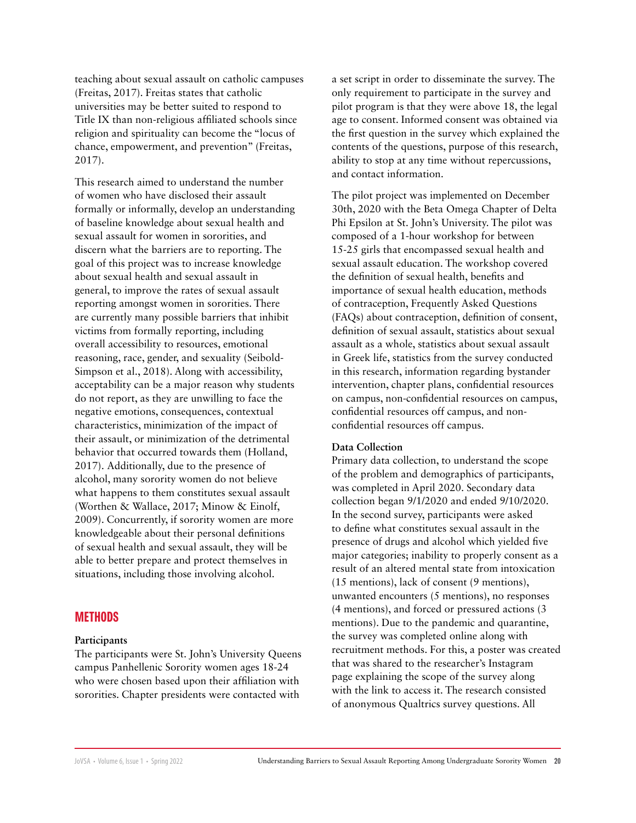teaching about sexual assault on catholic campuses (Freitas, 2017). Freitas states that catholic universities may be better suited to respond to Title IX than non-religious affiliated schools since religion and spirituality can become the "locus of chance, empowerment, and prevention" (Freitas, 2017).

This research aimed to understand the number of women who have disclosed their assault formally or informally, develop an understanding of baseline knowledge about sexual health and sexual assault for women in sororities, and discern what the barriers are to reporting. The goal of this project was to increase knowledge about sexual health and sexual assault in general, to improve the rates of sexual assault reporting amongst women in sororities. There are currently many possible barriers that inhibit victims from formally reporting, including overall accessibility to resources, emotional reasoning, race, gender, and sexuality (Seibold-Simpson et al., 2018). Along with accessibility, acceptability can be a major reason why students do not report, as they are unwilling to face the negative emotions, consequences, contextual characteristics, minimization of the impact of their assault, or minimization of the detrimental behavior that occurred towards them (Holland, 2017). Additionally, due to the presence of alcohol, many sorority women do not believe what happens to them constitutes sexual assault (Worthen & Wallace, 2017; Minow & Einolf, 2009). Concurrently, if sorority women are more knowledgeable about their personal definitions of sexual health and sexual assault, they will be able to better prepare and protect themselves in situations, including those involving alcohol.

#### **METHODS**

#### **Participants**

The participants were St. John's University Queens campus Panhellenic Sorority women ages 18-24 who were chosen based upon their affiliation with sororities. Chapter presidents were contacted with

a set script in order to disseminate the survey. The only requirement to participate in the survey and pilot program is that they were above 18, the legal age to consent. Informed consent was obtained via the first question in the survey which explained the contents of the questions, purpose of this research, ability to stop at any time without repercussions, and contact information.

The pilot project was implemented on December 30th, 2020 with the Beta Omega Chapter of Delta Phi Epsilon at St. John's University. The pilot was composed of a 1-hour workshop for between 15-25 girls that encompassed sexual health and sexual assault education. The workshop covered the definition of sexual health, benefits and importance of sexual health education, methods of contraception, Frequently Asked Questions (FAQs) about contraception, definition of consent, definition of sexual assault, statistics about sexual assault as a whole, statistics about sexual assault in Greek life, statistics from the survey conducted in this research, information regarding bystander intervention, chapter plans, confidential resources on campus, non-confidential resources on campus, confidential resources off campus, and nonconfidential resources off campus.

#### **Data Collection**

Primary data collection, to understand the scope of the problem and demographics of participants, was completed in April 2020. Secondary data collection began 9/1/2020 and ended 9/10/2020. In the second survey, participants were asked to define what constitutes sexual assault in the presence of drugs and alcohol which yielded five major categories; inability to properly consent as a result of an altered mental state from intoxication (15 mentions), lack of consent (9 mentions), unwanted encounters (5 mentions), no responses (4 mentions), and forced or pressured actions (3 mentions). Due to the pandemic and quarantine, the survey was completed online along with recruitment methods. For this, a poster was created that was shared to the researcher's Instagram page explaining the scope of the survey along with the link to access it. The research consisted of anonymous Qualtrics survey questions. All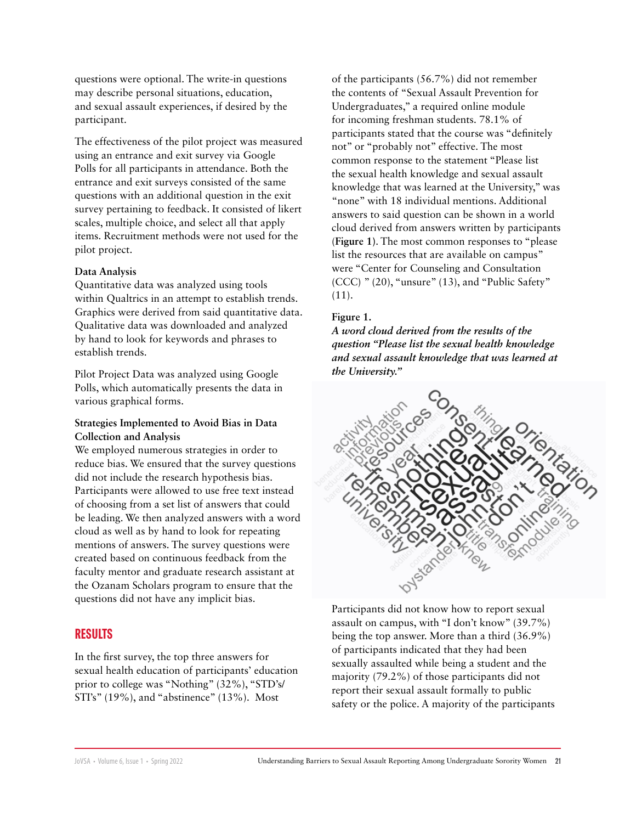questions were optional. The write-in questions may describe personal situations, education, and sexual assault experiences, if desired by the participant.

The effectiveness of the pilot project was measured using an entrance and exit survey via Google Polls for all participants in attendance. Both the entrance and exit surveys consisted of the same questions with an additional question in the exit survey pertaining to feedback. It consisted of likert scales, multiple choice, and select all that apply items. Recruitment methods were not used for the pilot project.

#### **Data Analysis**

Quantitative data was analyzed using tools within Qualtrics in an attempt to establish trends. Graphics were derived from said quantitative data. Qualitative data was downloaded and analyzed by hand to look for keywords and phrases to establish trends.

Pilot Project Data was analyzed using Google Polls, which automatically presents the data in various graphical forms.

#### **Strategies Implemented to Avoid Bias in Data Collection and Analysis**

We employed numerous strategies in order to reduce bias. We ensured that the survey questions did not include the research hypothesis bias. Participants were allowed to use free text instead of choosing from a set list of answers that could be leading. We then analyzed answers with a word cloud as well as by hand to look for repeating mentions of answers. The survey questions were created based on continuous feedback from the faculty mentor and graduate research assistant at the Ozanam Scholars program to ensure that the questions did not have any implicit bias.

# **RESULTS**

In the first survey, the top three answers for sexual health education of participants' education prior to college was "Nothing" (32%), "STD's/ STI's" (19%), and "abstinence" (13%). Most

of the participants (56.7%) did not remember the contents of "Sexual Assault Prevention for Undergraduates," a required online module for incoming freshman students. 78.1% of participants stated that the course was "definitely not" or "probably not" effective. The most common response to the statement "Please list the sexual health knowledge and sexual assault knowledge that was learned at the University," was "none" with 18 individual mentions. Additional answers to said question can be shown in a world cloud derived from answers written by participants (**Figure 1)**. The most common responses to "please list the resources that are available on campus" were "Center for Counseling and Consultation (CCC) " (20), "unsure" (13), and "Public Safety"  $(11).$ 

#### **Figure 1.**

*A word cloud derived from the results of the question "Please list the sexual health knowledge and sexual assault knowledge that was learned at the University."*



Participants did not know how to report sexual assault on campus, with "I don't know" (39.7%) being the top answer. More than a third (36.9%) of participants indicated that they had been sexually assaulted while being a student and the majority (79.2%) of those participants did not report their sexual assault formally to public safety or the police. A majority of the participants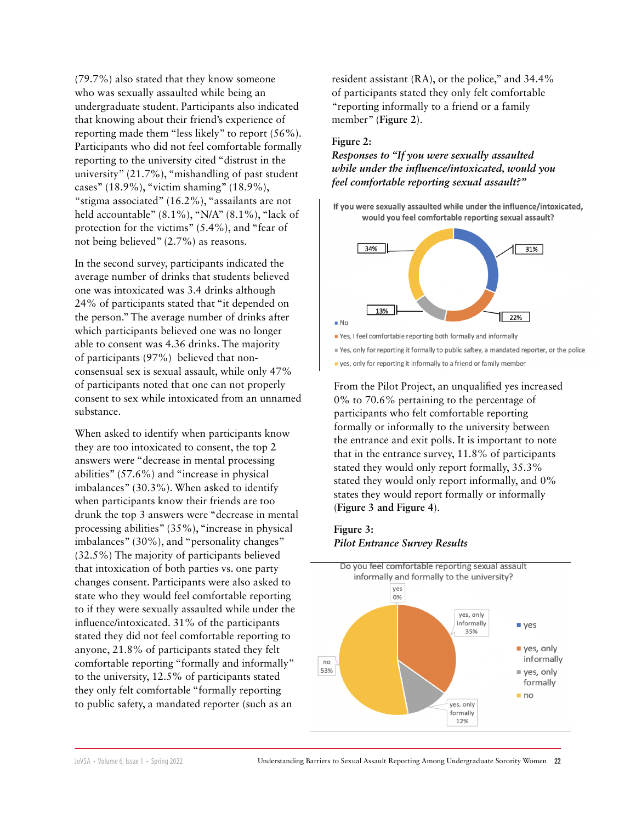(79.7%) also stated that they know someone who was sexually assaulted while being an undergraduate student. Participants also indicated that knowing about their friend's experience of reporting made them "less likely" to report (56%). Participants who did not feel comfortable formally reporting to the university cited "distrust in the university" (21.7%), "mishandling of past student cases" (18.9%), "victim shaming" (18.9%), "stigma associated" (16.2%), "assailants are not held accountable" (8.1%), "N/A" (8.1%), "lack of protection for the victims" (5.4%), and "fear of not being believed" (2.7%) as reasons.

In the second survey, participants indicated the average number of drinks that students believed one was intoxicated was 3.4 drinks although 24% of participants stated that "it depended on the person." The average number of drinks after which participants believed one was no longer able to consent was 4.36 drinks. The majority of participants (97%) believed that nonconsensual sex is sexual assault, while only 47% of participants noted that one can not properly consent to sex while intoxicated from an unnamed substance.

When asked to identify when participants know they are too intoxicated to consent, the top 2 answers were "decrease in mental processing abilities" (57.6%) and "increase in physical imbalances" (30.3%). When asked to identify when participants know their friends are too drunk the top 3 answers were "decrease in mental processing abilities" (35%), "increase in physical imbalances" (30%), and "personality changes" (32.5%) The majority of participants believed that intoxication of both parties vs. one party changes consent. Participants were also asked to state who they would feel comfortable reporting to if they were sexually assaulted while under the influence/intoxicated. 31% of the participants stated they did not feel comfortable reporting to anyone, 21.8% of participants stated they felt comfortable reporting "formally and informally" to the university, 12.5% of participants stated they only felt comfortable "formally reporting to public safety, a mandated reporter (such as an

resident assistant (RA), or the police," and 34.4% of participants stated they only felt comfortable "reporting informally to a friend or a family member" (**Figure 2**).

#### **Figure 2:**

*Responses to "If you were sexually assaulted while under the influence/intoxicated, would you feel comfortable reporting sexual assault?"*

If you were sexually assaulted while under the influence/intoxicated, would you feel comfortable reporting sexual assault?



Pes, I feel comfortable reporting both formally and informally

■ Yes, only for reporting it formally to public saftey, a mandated reporter, or the police

yes, only for reporting it informally to a friend or family member

From the Pilot Project, an unqualified yes increased 0% to 70.6% pertaining to the percentage of participants who felt comfortable reporting formally or informally to the university between the entrance and exit polls. It is important to note that in the entrance survey, 11.8% of participants stated they would only report formally, 35.3% stated they would only report informally, and 0% states they would report formally or informally (**Figure 3 and Figure 4**).

#### **Figure 3:**  *Pilot Entrance Survey Results*

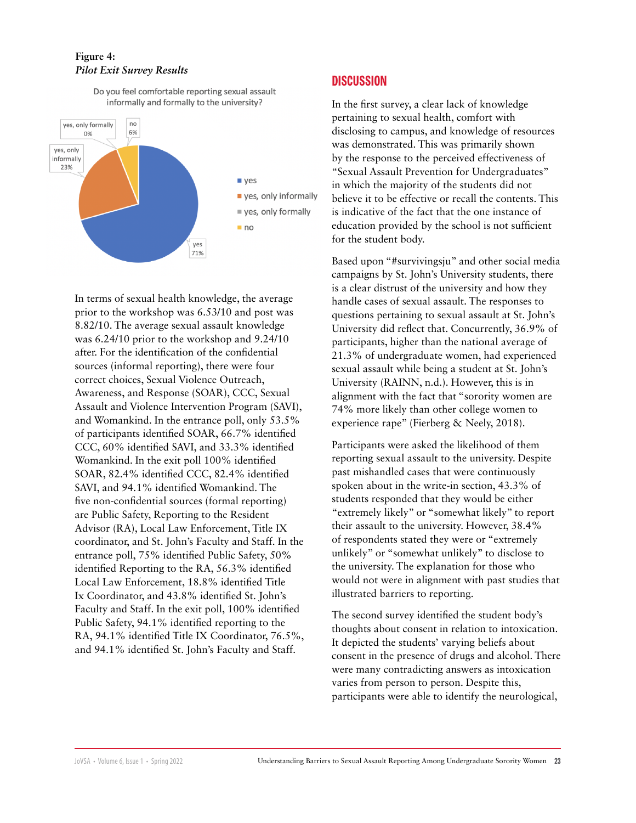# **Figure 4:**  *Pilot Exit Survey Results*

Do you feel comfortable reporting sexual assault informally and formally to the university?



In terms of sexual health knowledge, the average prior to the workshop was 6.53/10 and post was 8.82/10. The average sexual assault knowledge was 6.24/10 prior to the workshop and 9.24/10 after. For the identification of the confidential sources (informal reporting), there were four correct choices, Sexual Violence Outreach, Awareness, and Response (SOAR), CCC, Sexual Assault and Violence Intervention Program (SAVI), and Womankind. In the entrance poll, only 53.5% of participants identified SOAR, 66.7% identified CCC, 60% identified SAVI, and 33.3% identified Womankind. In the exit poll 100% identified SOAR, 82.4% identified CCC, 82.4% identified SAVI, and 94.1% identified Womankind. The five non-confidential sources (formal reporting) are Public Safety, Reporting to the Resident Advisor (RA), Local Law Enforcement, Title IX coordinator, and St. John's Faculty and Staff. In the entrance poll, 75% identified Public Safety, 50% identified Reporting to the RA, 56.3% identified Local Law Enforcement, 18.8% identified Title Ix Coordinator, and 43.8% identified St. John's Faculty and Staff. In the exit poll, 100% identified Public Safety, 94.1% identified reporting to the RA, 94.1% identified Title IX Coordinator, 76.5%, and 94.1% identified St. John's Faculty and Staff.

# **DISCUSSION**

In the first survey, a clear lack of knowledge pertaining to sexual health, comfort with disclosing to campus, and knowledge of resources was demonstrated. This was primarily shown by the response to the perceived effectiveness of "Sexual Assault Prevention for Undergraduates" in which the majority of the students did not believe it to be effective or recall the contents. This is indicative of the fact that the one instance of education provided by the school is not sufficient for the student body.

Based upon "#survivingsju" and other social media campaigns by St. John's University students, there is a clear distrust of the university and how they handle cases of sexual assault. The responses to questions pertaining to sexual assault at St. John's University did reflect that. Concurrently, 36.9% of participants, higher than the national average of 21.3% of undergraduate women, had experienced sexual assault while being a student at St. John's University (RAINN, n.d.). However, this is in alignment with the fact that "sorority women are 74% more likely than other college women to experience rape" (Fierberg & Neely, 2018).

Participants were asked the likelihood of them reporting sexual assault to the university. Despite past mishandled cases that were continuously spoken about in the write-in section, 43.3% of students responded that they would be either "extremely likely" or "somewhat likely" to report their assault to the university. However, 38.4% of respondents stated they were or "extremely unlikely" or "somewhat unlikely" to disclose to the university. The explanation for those who would not were in alignment with past studies that illustrated barriers to reporting.

The second survey identified the student body's thoughts about consent in relation to intoxication. It depicted the students' varying beliefs about consent in the presence of drugs and alcohol. There were many contradicting answers as intoxication varies from person to person. Despite this, participants were able to identify the neurological,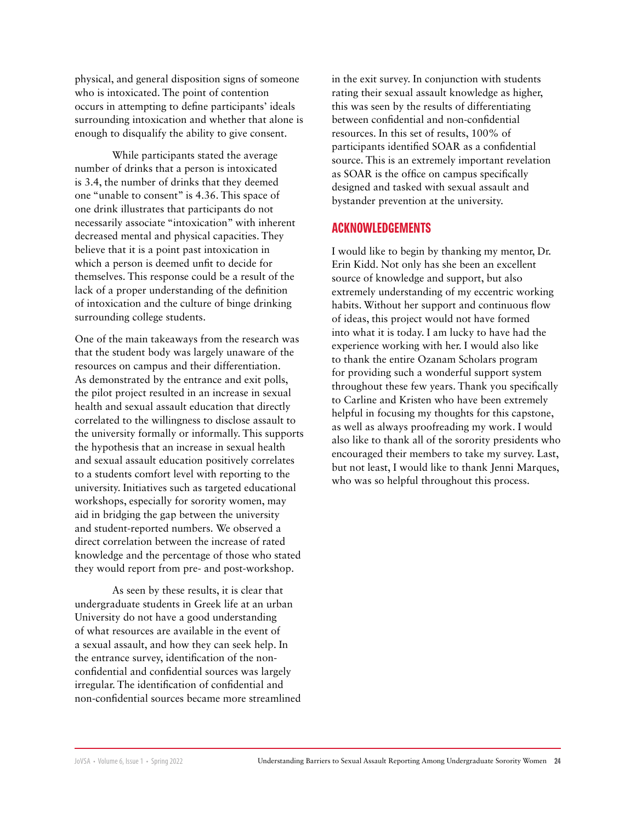physical, and general disposition signs of someone who is intoxicated. The point of contention occurs in attempting to define participants' ideals surrounding intoxication and whether that alone is enough to disqualify the ability to give consent.

While participants stated the average number of drinks that a person is intoxicated is 3.4, the number of drinks that they deemed one "unable to consent" is 4.36. This space of one drink illustrates that participants do not necessarily associate "intoxication" with inherent decreased mental and physical capacities. They believe that it is a point past intoxication in which a person is deemed unfit to decide for themselves. This response could be a result of the lack of a proper understanding of the definition of intoxication and the culture of binge drinking surrounding college students.

One of the main takeaways from the research was that the student body was largely unaware of the resources on campus and their differentiation. As demonstrated by the entrance and exit polls, the pilot project resulted in an increase in sexual health and sexual assault education that directly correlated to the willingness to disclose assault to the university formally or informally. This supports the hypothesis that an increase in sexual health and sexual assault education positively correlates to a students comfort level with reporting to the university. Initiatives such as targeted educational workshops, especially for sorority women, may aid in bridging the gap between the university and student-reported numbers. We observed a direct correlation between the increase of rated knowledge and the percentage of those who stated they would report from pre- and post-workshop.

As seen by these results, it is clear that undergraduate students in Greek life at an urban University do not have a good understanding of what resources are available in the event of a sexual assault, and how they can seek help. In the entrance survey, identification of the nonconfidential and confidential sources was largely irregular. The identification of confidential and non-confidential sources became more streamlined

in the exit survey. In conjunction with students rating their sexual assault knowledge as higher, this was seen by the results of differentiating between confidential and non-confidential resources. In this set of results, 100% of participants identified SOAR as a confidential source. This is an extremely important revelation as SOAR is the office on campus specifically designed and tasked with sexual assault and bystander prevention at the university.

# **ACKNOWLEDGEMENTS**

I would like to begin by thanking my mentor, Dr. Erin Kidd. Not only has she been an excellent source of knowledge and support, but also extremely understanding of my eccentric working habits. Without her support and continuous flow of ideas, this project would not have formed into what it is today. I am lucky to have had the experience working with her. I would also like to thank the entire Ozanam Scholars program for providing such a wonderful support system throughout these few years. Thank you specifically to Carline and Kristen who have been extremely helpful in focusing my thoughts for this capstone, as well as always proofreading my work. I would also like to thank all of the sorority presidents who encouraged their members to take my survey. Last, but not least, I would like to thank Jenni Marques, who was so helpful throughout this process.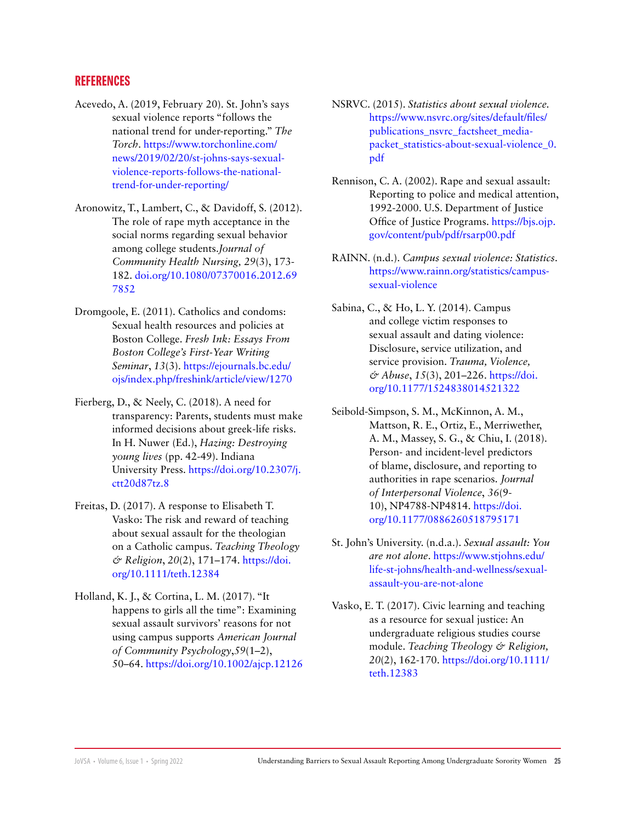# **REFERENCES**

- Acevedo, A. (2019, February 20). St. John's says sexual violence reports "follows the national trend for under-reporting." *The Torch*. [https://www.torchonline.com/](https://www.torchonline.com/news/2019/02/20/st-johns-says-sexual-violence-) [news/2019/02/20/st-johns-says-sexual](https://www.torchonline.com/news/2019/02/20/st-johns-says-sexual-violence-)[violence-](https://www.torchonline.com/news/2019/02/20/st-johns-says-sexual-violence-)reports-follows-the-nationaltrend-for-under-reporting/
- Aronowitz, T., Lambert, C., & Davidoff, S. (2012). The role of rape myth acceptance in the social norms regarding sexual behavior among college students.*Journal of Community Health Nursing, 29*(3), 173- 182. [doi.org/10.1080/07370016.2012.69](http://doi.org/10.1080/07370016.2012.697852 ) [7852](http://doi.org/10.1080/07370016.2012.697852 )
- Dromgoole, E. (2011). Catholics and condoms: Sexual health resources and policies at Boston College. *Fresh Ink: Essays From Boston College's First-Year Writing Seminar*, *13*(3). [https://ejournals.bc.edu/](https://ejournals.bc.edu/ojs/index.php/freshink/article/view/1270) [ojs/index.php/freshink/article/view/1270](https://ejournals.bc.edu/ojs/index.php/freshink/article/view/1270)
- Fierberg, D., & Neely, C. (2018). A need for transparency: Parents, students must make informed decisions about greek-life risks. In H. Nuwer (Ed.), *Hazing: Destroying young lives* (pp. 42-49). Indiana University Press. [https://doi.org/10.2307/j.](https://doi.org/10.2307/j.ctt20d87tz.8 ) [ctt20d87tz.8](https://doi.org/10.2307/j.ctt20d87tz.8 )
- Freitas, D. (2017). A response to Elisabeth T. Vasko: The risk and reward of teaching about sexual assault for the theologian on a Catholic campus. *Teaching Theology & Religion*, *20*(2), 171–174. [https://doi.](https://doi.org/10.1111/teth.12384) [org/10.1111/teth.12384](https://doi.org/10.1111/teth.12384)
- Holland, K. J., & Cortina, L. M. (2017). "It happens to girls all the time": Examining sexual assault survivors' reasons for not using campus supports *American Journal of Community Psychology*,*59*(1–2), 50–64.<https://doi.org/10.1002/ajcp.12126>
- NSRVC. (2015). *Statistics about sexual violence.*  [https://www.nsvrc.org/sites/default/files/](https://www.nsvrc.org/sites/default/files/publications_nsvrc_factsheet_media-packet_statistics-about-sexual-violence_0.pdf) [publications\\_nsvrc\\_factsheet\\_media](https://www.nsvrc.org/sites/default/files/publications_nsvrc_factsheet_media-packet_statistics-about-sexual-violence_0.pdf)[packet\\_statistics-about-sexual-violence\\_0.](https://www.nsvrc.org/sites/default/files/publications_nsvrc_factsheet_media-packet_statistics-about-sexual-violence_0.pdf) [pdf](https://www.nsvrc.org/sites/default/files/publications_nsvrc_factsheet_media-packet_statistics-about-sexual-violence_0.pdf)
- Rennison, C. A. (2002). Rape and sexual assault: Reporting to police and medical attention, 1992-2000. U.S. Department of Justice Office of Justice Programs. [https://bjs.ojp.](https://bjs.ojp.gov/content/pub/pdf/rsarp00.pdf) [gov/content/pub/pdf/rsarp00.pdf](https://bjs.ojp.gov/content/pub/pdf/rsarp00.pdf)
- RAINN. (n.d.). *Campus sexual violence: Statistics*. [https://www.rainn.org/statistics/campus](https://www.rainn.org/statistics/campus-sexual-violence)[sexual-violence](https://www.rainn.org/statistics/campus-sexual-violence)
- Sabina, C., & Ho, L. Y. (2014). Campus and college victim responses to sexual assault and dating violence: Disclosure, service utilization, and service provision. *Trauma, Violence, & Abuse*, *15*(3), 201–226. [https://doi.](https://doi.org/10.1177/1524838014521322) [org/10.1177/1524838014521322](https://doi.org/10.1177/1524838014521322)
- Seibold-Simpson, S. M., McKinnon, A. M., Mattson, R. E., Ortiz, E., Merriwether, A. M., Massey, S. G., & Chiu, I. (2018). Person- and incident-level predictors of blame, disclosure, and reporting to authorities in rape scenarios. *Journal of Interpersonal Violence*, *36*(9- 10), NP4788-NP4814. [https://doi.](https://doi.org/10.1177/0886260518795171) [org/10.1177/0886260518795171](https://doi.org/10.1177/0886260518795171)
- St. John's University. (n.d.a.). *Sexual assault: You are not alone*. [https://www.stjohns.edu/](https://www.stjohns.edu/life-st-johns/health-and-wellness/sexual-assault-you-are-not-alone) [life-st-johns/health-and-wellness/sexual](https://www.stjohns.edu/life-st-johns/health-and-wellness/sexual-assault-you-are-not-alone)[assault-you-are-not-alone](https://www.stjohns.edu/life-st-johns/health-and-wellness/sexual-assault-you-are-not-alone)
- Vasko, E. T. (2017). Civic learning and teaching as a resource for sexual justice: An undergraduate religious studies course module. *Teaching Theology & Religion, 20*(2), 162-170. [https://doi.org/10.1111/](https://doi.org/10.1111/teth.12383) [teth.12383](https://doi.org/10.1111/teth.12383)